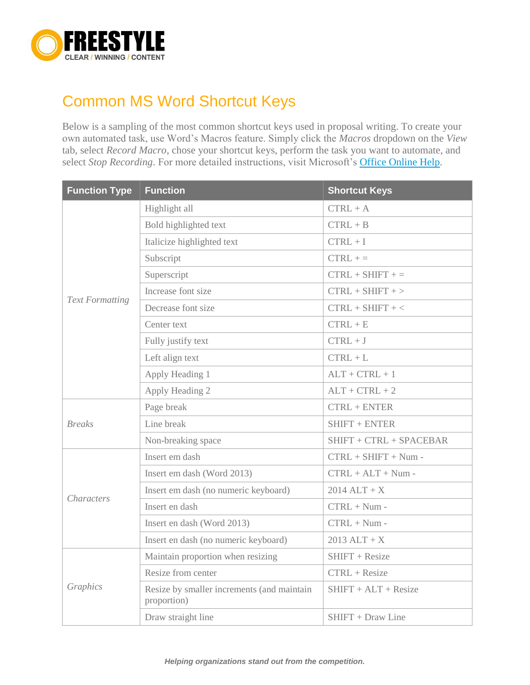

## Common MS Word Shortcut Keys

Below is a sampling of the most common shortcut keys used in proposal writing. To create your own automated task, use Word's Macros feature. Simply click the *Macros* dropdown on the *View* tab, select *Record Macro*, chose your shortcut keys, perform the task you want to automate, and select *Stop Recording*. For more detailed instructions, visit Microsoft's **Office Online Help.** 

| <b>Function Type</b>   | <b>Function</b>                                           | <b>Shortcut Keys</b>      |
|------------------------|-----------------------------------------------------------|---------------------------|
| <b>Text Formatting</b> | Highlight all                                             | $CTRL + A$                |
|                        | Bold highlighted text                                     | $CTRL + B$                |
|                        | Italicize highlighted text                                | $CTRL + I$                |
|                        | Subscript                                                 | $CTRL +=$                 |
|                        | Superscript                                               | $CTRL + SHIFT +=$         |
|                        | Increase font size                                        | $CTRL + SHIFT + >$        |
|                        | Decrease font size                                        | $CTRL + SHIFT + <$        |
|                        | Center text                                               | $CTRL + E$                |
|                        | Fully justify text                                        | $CTRL + J$                |
|                        | Left align text                                           | $CTRL + L$                |
|                        | Apply Heading 1                                           | $ALT + CTRL + 1$          |
|                        | Apply Heading 2                                           | $ALT + CTRL + 2$          |
| <b>Breaks</b>          | Page break                                                | $CTRL + ENTER$            |
|                        | Line break                                                | SHIFT + ENTER             |
|                        | Non-breaking space                                        | $SHIFT + CTRL + SPACEBAR$ |
| <i>Characters</i>      | Insert em dash                                            | $CTRL + SHIFT + Num -$    |
|                        | Insert em dash (Word 2013)                                | $CTRL + ALT + Num -$      |
|                        | Insert em dash (no numeric keyboard)                      | $2014$ ALT + X            |
|                        | Insert en dash                                            | $CTRL + Num -$            |
|                        | Insert en dash (Word 2013)                                | $CTRL + Num -$            |
|                        | Insert en dash (no numeric keyboard)                      | $2013$ ALT + X            |
| Graphics               | Maintain proportion when resizing                         | SHIFT + Resize            |
|                        | Resize from center                                        | CTRL + Resize             |
|                        | Resize by smaller increments (and maintain<br>proportion) | $SHIFT +ALT + Resize$     |
|                        | Draw straight line                                        | SHIFT + Draw Line         |